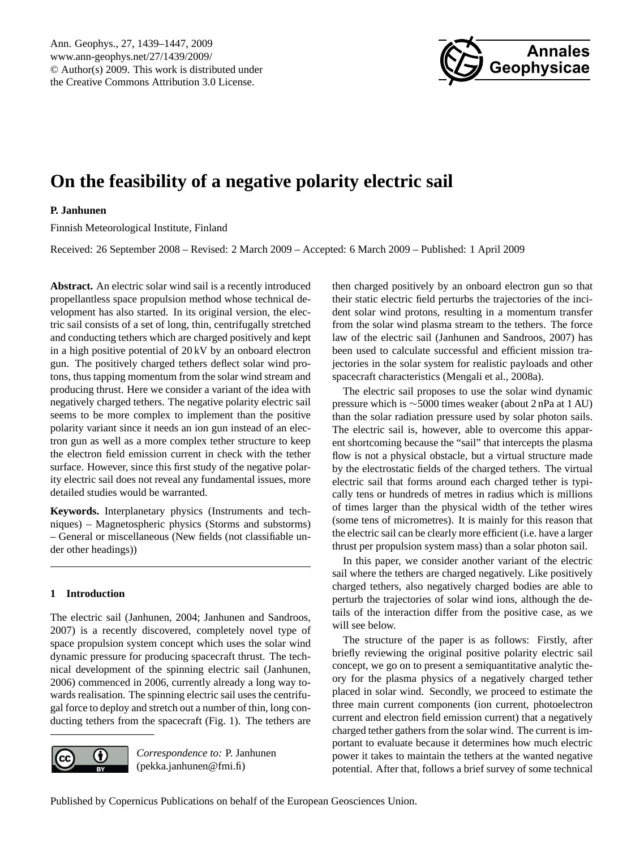

# <span id="page-0-0"></span>**On the feasibility of a negative polarity electric sail**

# **P. Janhunen**

Finnish Meteorological Institute, Finland

Received: 26 September 2008 – Revised: 2 March 2009 – Accepted: 6 March 2009 – Published: 1 April 2009

**Abstract.** An electric solar wind sail is a recently introduced propellantless space propulsion method whose technical development has also started. In its original version, the electric sail consists of a set of long, thin, centrifugally stretched and conducting tethers which are charged positively and kept in a high positive potential of 20 kV by an onboard electron gun. The positively charged tethers deflect solar wind protons, thus tapping momentum from the solar wind stream and producing thrust. Here we consider a variant of the idea with negatively charged tethers. The negative polarity electric sail seems to be more complex to implement than the positive polarity variant since it needs an ion gun instead of an electron gun as well as a more complex tether structure to keep the electron field emission current in check with the tether surface. However, since this first study of the negative polarity electric sail does not reveal any fundamental issues, more detailed studies would be warranted.

**Keywords.** Interplanetary physics (Instruments and techniques) – Magnetospheric physics (Storms and substorms) – General or miscellaneous (New fields (not classifiable under other headings))

# **1 Introduction**

The electric sail [\(Janhunen,](#page-8-0) [2004;](#page-8-0) [Janhunen and Sandroos,](#page-8-1) [2007\)](#page-8-1) is a recently discovered, completely novel type of space propulsion system concept which uses the solar wind dynamic pressure for producing spacecraft thrust. The technical development of the spinning electric sail [\(Janhunen,](#page-8-2) [2006\)](#page-8-2) commenced in 2006, currently already a long way towards realisation. The spinning electric sail uses the centrifugal force to deploy and stretch out a number of thin, long conducting tethers from the spacecraft (Fig. 1). The tethers are



*Correspondence to:* P. Janhunen (pekka.janhunen@fmi.fi)

then charged positively by an onboard electron gun so that their static electric field perturbs the trajectories of the incident solar wind protons, resulting in a momentum transfer from the solar wind plasma stream to the tethers. The force law of the electric sail [\(Janhunen and Sandroos,](#page-8-1) [2007\)](#page-8-1) has been used to calculate successful and efficient mission trajectories in the solar system for realistic payloads and other spacecraft characteristics [\(Mengali et al.,](#page-8-3) [2008a\)](#page-8-3).

The electric sail proposes to use the solar wind dynamic pressure which is ∼5000 times weaker (about 2 nPa at 1 AU) than the solar radiation pressure used by solar photon sails. The electric sail is, however, able to overcome this apparent shortcoming because the "sail" that intercepts the plasma flow is not a physical obstacle, but a virtual structure made by the electrostatic fields of the charged tethers. The virtual electric sail that forms around each charged tether is typically tens or hundreds of metres in radius which is millions of times larger than the physical width of the tether wires (some tens of micrometres). It is mainly for this reason that the electric sail can be clearly more efficient (i.e. have a larger thrust per propulsion system mass) than a solar photon sail.

In this paper, we consider another variant of the electric sail where the tethers are charged negatively. Like positively charged tethers, also negatively charged bodies are able to perturb the trajectories of solar wind ions, although the details of the interaction differ from the positive case, as we will see below.

The structure of the paper is as follows: Firstly, after briefly reviewing the original positive polarity electric sail concept, we go on to present a semiquantitative analytic theory for the plasma physics of a negatively charged tether placed in solar wind. Secondly, we proceed to estimate the three main current components (ion current, photoelectron current and electron field emission current) that a negatively charged tether gathers from the solar wind. The current is important to evaluate because it determines how much electric power it takes to maintain the tethers at the wanted negative potential. After that, follows a brief survey of some technical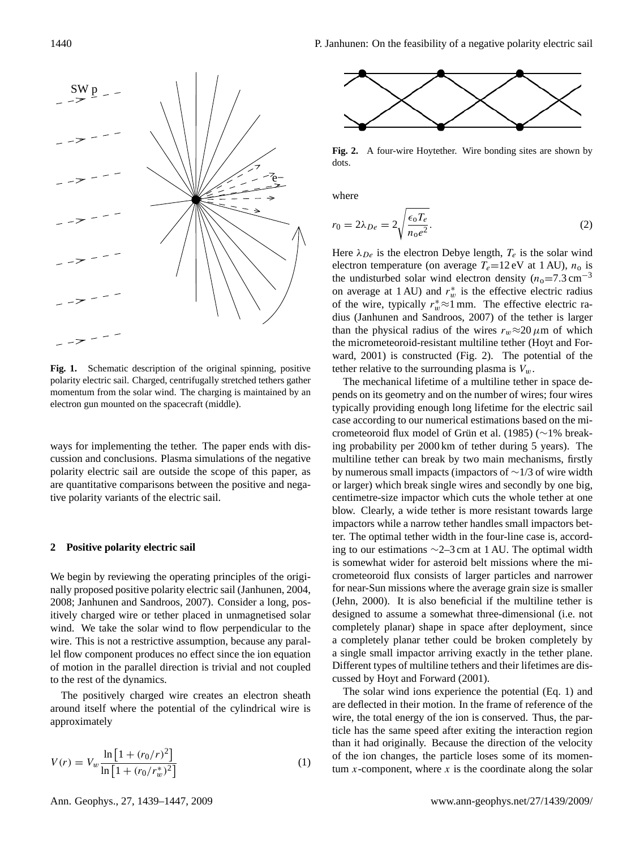

**Fig. 1.** Schematic description of the original spinning, positive polarity electric sail. Charged, centrifugally stretched tethers gather momentum from the solar wind. The charging is maintained by an electron gun mounted on the spacecraft (middle).

ways for implementing the tether. The paper ends with discussion and conclusions. Plasma simulations of the negative polarity electric sail are outside the scope of this paper, as are quantitative comparisons between the positive and negative polarity variants of the electric sail.

## **2 Positive polarity electric sail**

We begin by reviewing the operating principles of the originally proposed positive polarity electric sail [\(Janhunen,](#page-8-0) [2004,](#page-8-0) [2008;](#page-8-4) [Janhunen and Sandroos,](#page-8-1) [2007\)](#page-8-1). Consider a long, positively charged wire or tether placed in unmagnetised solar wind. We take the solar wind to flow perpendicular to the wire. This is not a restrictive assumption, because any parallel flow component produces no effect since the ion equation of motion in the parallel direction is trivial and not coupled to the rest of the dynamics.

The positively charged wire creates an electron sheath around itself where the potential of the cylindrical wire is approximately

<span id="page-1-0"></span>
$$
V(r) = V_w \frac{\ln\left[1 + (r_0/r)^2\right]}{\ln\left[1 + (r_0/r_w^*)^2\right]}
$$
 (1)



**Fig. 2.** A four-wire Hoytether. Wire bonding sites are shown by dots.

where

$$
r_0 = 2\lambda_{De} = 2\sqrt{\frac{\epsilon_0 T_e}{n_0 e^2}}.\tag{2}
$$

Here  $\lambda_{De}$  is the electron Debye length,  $T_e$  is the solar wind electron temperature (on average  $T_e=12$  eV at 1 AU),  $n_o$  is the undisturbed solar wind electron density  $(n_0=7.3 \text{ cm}^{-3})$ on average at 1 AU) and  $r_w^*$  is the effective electric radius of the wire, typically  $r_w^* \approx 1$  mm. The effective electric radius [\(Janhunen and Sandroos,](#page-8-1) [2007\)](#page-8-1) of the tether is larger than the physical radius of the wires  $r_w \approx 20 \mu$ m of which the micrometeoroid-resistant multiline tether [\(Hoyt and For](#page-8-5)[ward,](#page-8-5) [2001\)](#page-8-5) is constructed (Fig. 2). The potential of the tether relative to the surrounding plasma is  $V_w$ .

The mechanical lifetime of a multiline tether in space depends on its geometry and on the number of wires; four wires typically providing enough long lifetime for the electric sail case according to our numerical estimations based on the mi-crometeoroid flux model of Grün et al. [\(1985\)](#page-8-6) (∼1% breaking probability per 2000 km of tether during 5 years). The multiline tether can break by two main mechanisms, firstly by numerous small impacts (impactors of ∼1/3 of wire width or larger) which break single wires and secondly by one big, centimetre-size impactor which cuts the whole tether at one blow. Clearly, a wide tether is more resistant towards large impactors while a narrow tether handles small impactors better. The optimal tether width in the four-line case is, according to our estimations ∼2–3 cm at 1 AU. The optimal width is somewhat wider for asteroid belt missions where the micrometeoroid flux consists of larger particles and narrower for near-Sun missions where the average grain size is smaller [\(Jehn,](#page-8-7) [2000\)](#page-8-7). It is also beneficial if the multiline tether is designed to assume a somewhat three-dimensional (i.e. not completely planar) shape in space after deployment, since a completely planar tether could be broken completely by a single small impactor arriving exactly in the tether plane. Different types of multiline tethers and their lifetimes are discussed by [Hoyt and Forward](#page-8-5) [\(2001\)](#page-8-5).

The solar wind ions experience the potential (Eq. [1\)](#page-1-0) and are deflected in their motion. In the frame of reference of the wire, the total energy of the ion is conserved. Thus, the particle has the same speed after exiting the interaction region than it had originally. Because the direction of the velocity of the ion changes, the particle loses some of its momentum  $x$ -component, where  $x$  is the coordinate along the solar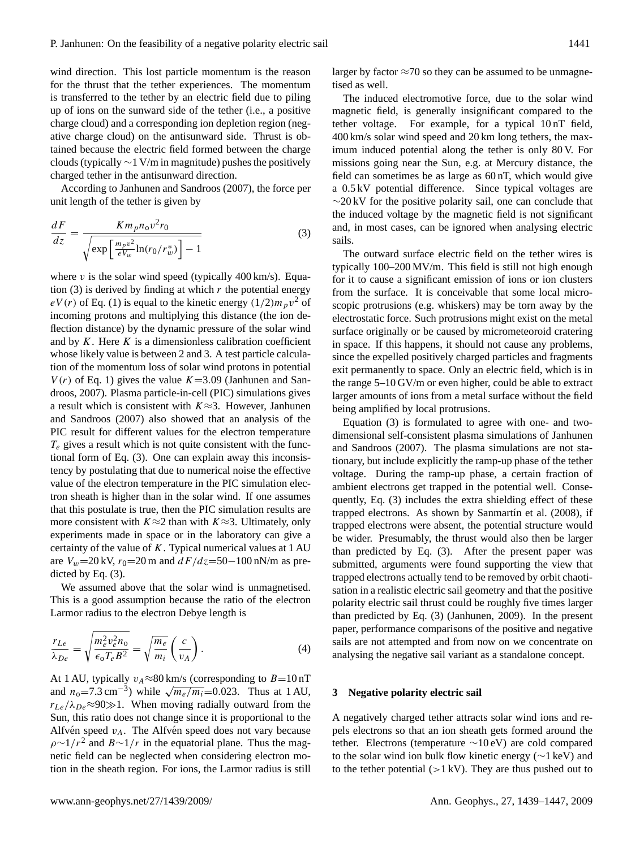wind direction. This lost particle momentum is the reason for the thrust that the tether experiences. The momentum is transferred to the tether by an electric field due to piling up of ions on the sunward side of the tether (i.e., a positive charge cloud) and a corresponding ion depletion region (negative charge cloud) on the antisunward side. Thrust is obtained because the electric field formed between the charge clouds (typically  $\sim$ 1 V/m in magnitude) pushes the positively charged tether in the antisunward direction.

According to [Janhunen and Sandroos](#page-8-1) [\(2007\)](#page-8-1), the force per unit length of the tether is given by

<span id="page-2-0"></span>
$$
\frac{dF}{dz} = \frac{Km_p n_0 v^2 r_0}{\sqrt{\exp\left[\frac{m_p v^2}{eV_w}\ln(r_0/r_w^*)\right] - 1}}\tag{3}
$$

where  $v$  is the solar wind speed (typically 400 km/s). Equa-tion [\(3\)](#page-2-0) is derived by finding at which  $r$  the potential energy  $eV(r)$  of Eq. [\(1\)](#page-1-0) is equal to the kinetic energy  $(1/2)m_p v^2$  of incoming protons and multiplying this distance (the ion deflection distance) by the dynamic pressure of the solar wind and by  $K$ . Here  $K$  is a dimensionless calibration coefficient whose likely value is between 2 and 3. A test particle calculation of the momentum loss of solar wind protons in potential  $V(r)$  of Eq. [1\)](#page-1-0) gives the value  $K=3.09$  [\(Janhunen and San](#page-8-1)[droos,](#page-8-1) [2007\)](#page-8-1). Plasma particle-in-cell (PIC) simulations gives a result which is consistent with  $K \approx 3$ . However, [Janhunen](#page-8-1) [and Sandroos](#page-8-1) [\(2007\)](#page-8-1) also showed that an analysis of the PIC result for different values for the electron temperature  $T_e$  gives a result which is not quite consistent with the functional form of Eq. [\(3\)](#page-2-0). One can explain away this inconsistency by postulating that due to numerical noise the effective value of the electron temperature in the PIC simulation electron sheath is higher than in the solar wind. If one assumes that this postulate is true, then the PIC simulation results are more consistent with  $K \approx 2$  than with  $K \approx 3$ . Ultimately, only experiments made in space or in the laboratory can give a certainty of the value of  $K$ . Typical numerical values at 1 AU are  $V_w$ =20 kV,  $r_0$ =20 m and  $dF/dz$ =50−100 nN/m as predicted by Eq. [\(3\)](#page-2-0).

We assumed above that the solar wind is unmagnetised. This is a good assumption because the ratio of the electron Larmor radius to the electron Debye length is

$$
\frac{r_{Le}}{\lambda_{De}} = \sqrt{\frac{m_e^2 v_e^2 n_o}{\epsilon_o T_e B^2}} = \sqrt{\frac{m_e}{m_i}} \left(\frac{c}{v_A}\right). \tag{4}
$$

At 1 AU, typically  $v_A \approx 80$  km/s (corresponding to  $B=10$  nT At 1 AU, typically  $v_A \approx 80$  km/s (corresponding to *B*=10 n1<br>and  $n_0$ =7.3 cm<sup>-3</sup>) while  $\sqrt{m_e/m_i}$ =0.023. Thus at 1 AU,  $r_{Le}/\lambda_{De} \approx 90 \gg 1$ . When moving radially outward from the Sun, this ratio does not change since it is proportional to the Alfvén speed  $v_A$ . The Alfvén speed does not vary because  $\rho \sim 1/r^2$  and  $B \sim 1/r$  in the equatorial plane. Thus the magnetic field can be neglected when considering electron motion in the sheath region. For ions, the Larmor radius is still larger by factor  $\approx$ 70 so they can be assumed to be unmagnetised as well.

The induced electromotive force, due to the solar wind magnetic field, is generally insignificant compared to the tether voltage. For example, for a typical 10 nT field, 400 km/s solar wind speed and 20 km long tethers, the maximum induced potential along the tether is only 80 V. For missions going near the Sun, e.g. at Mercury distance, the field can sometimes be as large as 60 nT, which would give a 0.5 kV potential difference. Since typical voltages are  $\sim$ 20 kV for the positive polarity sail, one can conclude that the induced voltage by the magnetic field is not significant and, in most cases, can be ignored when analysing electric sails.

The outward surface electric field on the tether wires is typically 100–200 MV/m. This field is still not high enough for it to cause a significant emission of ions or ion clusters from the surface. It is conceivable that some local microscopic protrusions (e.g. whiskers) may be torn away by the electrostatic force. Such protrusions might exist on the metal surface originally or be caused by micrometeoroid cratering in space. If this happens, it should not cause any problems, since the expelled positively charged particles and fragments exit permanently to space. Only an electric field, which is in the range 5–10 GV/m or even higher, could be able to extract larger amounts of ions from a metal surface without the field being amplified by local protrusions.

Equation [\(3\)](#page-2-0) is formulated to agree with one- and twodimensional self-consistent plasma simulations of [Janhunen](#page-8-1) [and Sandroos](#page-8-1) [\(2007\)](#page-8-1). The plasma simulations are not stationary, but include explicitly the ramp-up phase of the tether voltage. During the ramp-up phase, a certain fraction of ambient electrons get trapped in the potential well. Consequently, Eq. [\(3\)](#page-2-0) includes the extra shielding effect of these trapped electrons. As shown by Sanmartín et al. [\(2008\)](#page-8-8), if trapped electrons were absent, the potential structure would be wider. Presumably, the thrust would also then be larger than predicted by Eq. [\(3\)](#page-2-0). After the present paper was submitted, arguments were found supporting the view that trapped electrons actually tend to be removed by orbit chaotisation in a realistic electric sail geometry and that the positive polarity electric sail thrust could be roughly five times larger than predicted by Eq. [\(3\)](#page-2-0) (Janhunen, 2009). In the present paper, performance comparisons of the positive and negative sails are not attempted and from now on we concentrate on analysing the negative sail variant as a standalone concept.

#### **3 Negative polarity electric sail**

A negatively charged tether attracts solar wind ions and repels electrons so that an ion sheath gets formed around the tether. Electrons (temperature ∼10 eV) are cold compared to the solar wind ion bulk flow kinetic energy (∼1 keV) and to the tether potential  $(>1 \text{ kV})$ . They are thus pushed out to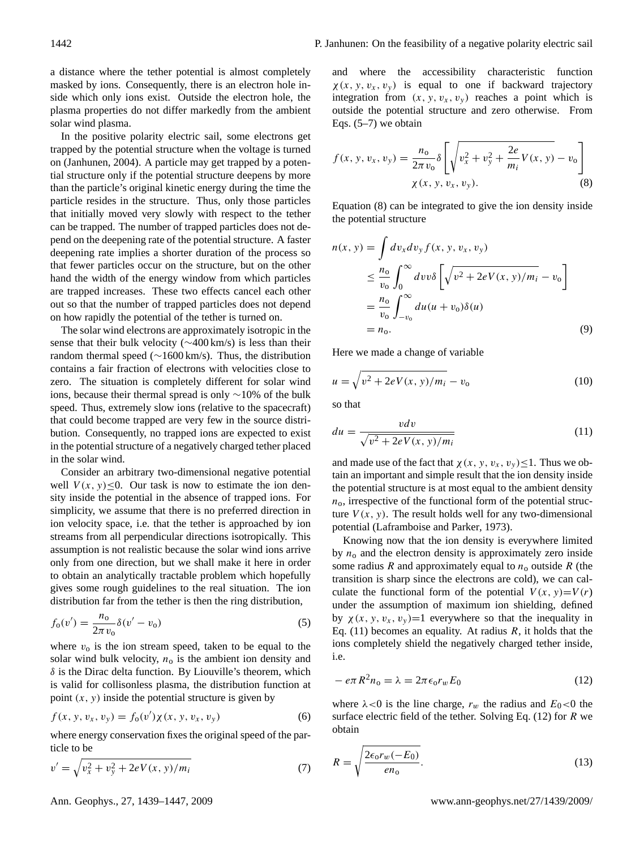a distance where the tether potential is almost completely masked by ions. Consequently, there is an electron hole inside which only ions exist. Outside the electron hole, the plasma properties do not differ markedly from the ambient solar wind plasma.

In the positive polarity electric sail, some electrons get trapped by the potential structure when the voltage is turned on [\(Janhunen,](#page-8-0) [2004\)](#page-8-0). A particle may get trapped by a potential structure only if the potential structure deepens by more than the particle's original kinetic energy during the time the particle resides in the structure. Thus, only those particles that initially moved very slowly with respect to the tether can be trapped. The number of trapped particles does not depend on the deepening rate of the potential structure. A faster deepening rate implies a shorter duration of the process so that fewer particles occur on the structure, but on the other hand the width of the energy window from which particles are trapped increases. These two effects cancel each other out so that the number of trapped particles does not depend on how rapidly the potential of the tether is turned on.

The solar wind electrons are approximately isotropic in the sense that their bulk velocity (∼400 km/s) is less than their random thermal speed (∼1600 km/s). Thus, the distribution contains a fair fraction of electrons with velocities close to zero. The situation is completely different for solar wind ions, because their thermal spread is only ∼10% of the bulk speed. Thus, extremely slow ions (relative to the spacecraft) that could become trapped are very few in the source distribution. Consequently, no trapped ions are expected to exist in the potential structure of a negatively charged tether placed in the solar wind.

Consider an arbitrary two-dimensional negative potential well  $V(x, y) \leq 0$ . Our task is now to estimate the ion density inside the potential in the absence of trapped ions. For simplicity, we assume that there is no preferred direction in ion velocity space, i.e. that the tether is approached by ion streams from all perpendicular directions isotropically. This assumption is not realistic because the solar wind ions arrive only from one direction, but we shall make it here in order to obtain an analytically tractable problem which hopefully gives some rough guidelines to the real situation. The ion distribution far from the tether is then the ring distribution,

<span id="page-3-0"></span>
$$
f_0(v') = \frac{n_0}{2\pi v_0} \delta(v' - v_0)
$$
 (5)

where  $v_0$  is the ion stream speed, taken to be equal to the solar wind bulk velocity,  $n_0$  is the ambient ion density and  $\delta$  is the Dirac delta function. By Liouville's theorem, which is valid for collisonless plasma, the distribution function at point  $(x, y)$  inside the potential structure is given by

$$
f(x, y, v_x, v_y) = f_0(v')\chi(x, y, v_x, v_y)
$$
 (6)

where energy conservation fixes the original speed of the particle to be

<span id="page-3-1"></span>
$$
v' = \sqrt{v_x^2 + v_y^2 + 2eV(x, y)/m_i}
$$
 (7)

and where the accessibility characteristic function  $\chi(x, y, v_x, v_y)$  is equal to one if backward trajectory integration from  $(x, y, v_x, v_y)$  reaches a point which is outside the potential structure and zero otherwise. From Eqs.  $(5-7)$  $(5-7)$  we obtain

<span id="page-3-2"></span>
$$
f(x, y, v_x, v_y) = \frac{n_0}{2\pi v_0} \delta \left[ \sqrt{v_x^2 + v_y^2 + \frac{2e}{m_i} V(x, y)} - v_0 \right]
$$
  
 
$$
\chi(x, y, v_x, v_y).
$$
 (8)

Equation [\(8\)](#page-3-2) can be integrated to give the ion density inside the potential structure

$$
n(x, y) = \int dv_x dv_y f(x, y, v_x, v_y)
$$
  
\n
$$
\leq \frac{n_0}{v_0} \int_0^{\infty} dv v \delta \left[ \sqrt{v^2 + 2eV(x, y)/m_i} - v_0 \right]
$$
  
\n
$$
= \frac{n_0}{v_0} \int_{-v_0}^{\infty} du (u + v_0) \delta(u)
$$
  
\n
$$
= n_0.
$$
 (9)

Here we made a change of variable

$$
u = \sqrt{v^2 + 2eV(x, y)/m_i} - v_0
$$
 (10)

so that

<span id="page-3-3"></span>
$$
du = \frac{v dv}{\sqrt{v^2 + 2eV(x, y)/m_i}}\tag{11}
$$

and made use of the fact that  $\chi(x, y, v_x, v_y) \leq 1$ . Thus we obtain an important and simple result that the ion density inside the potential structure is at most equal to the ambient density  $n<sub>0</sub>$ , irrespective of the functional form of the potential structure  $V(x, y)$ . The result holds well for any two-dimensional potential [\(Laframboise and Parker,](#page-8-9) [1973\)](#page-8-9).

Knowing now that the ion density is everywhere limited by  $n_0$  and the electron density is approximately zero inside some radius R and approximately equal to  $n_0$  outside R (the transition is sharp since the electrons are cold), we can calculate the functional form of the potential  $V(x, y)=V(r)$ under the assumption of maximum ion shielding, defined by  $\chi(x, y, v_x, v_y) = 1$  everywhere so that the inequality in Eq. [\(11\)](#page-3-3) becomes an equality. At radius  $R$ , it holds that the ions completely shield the negatively charged tether inside, i.e.

<span id="page-3-4"></span>
$$
-e\pi R^2 n_0 = \lambda = 2\pi \epsilon_0 r_w E_0 \tag{12}
$$

where  $\lambda$ <0 is the line charge,  $r_w$  the radius and  $E_0$ <0 the surface electric field of the tether. Solving Eq.  $(12)$  for R we obtain

$$
R = \sqrt{\frac{2\epsilon_0 r_w(-E_0)}{e n_0}}.\tag{13}
$$

Ann. Geophys., 27, 1439[–1447,](#page-0-0) 2009 www.ann-geophys.net/27/1439/2009/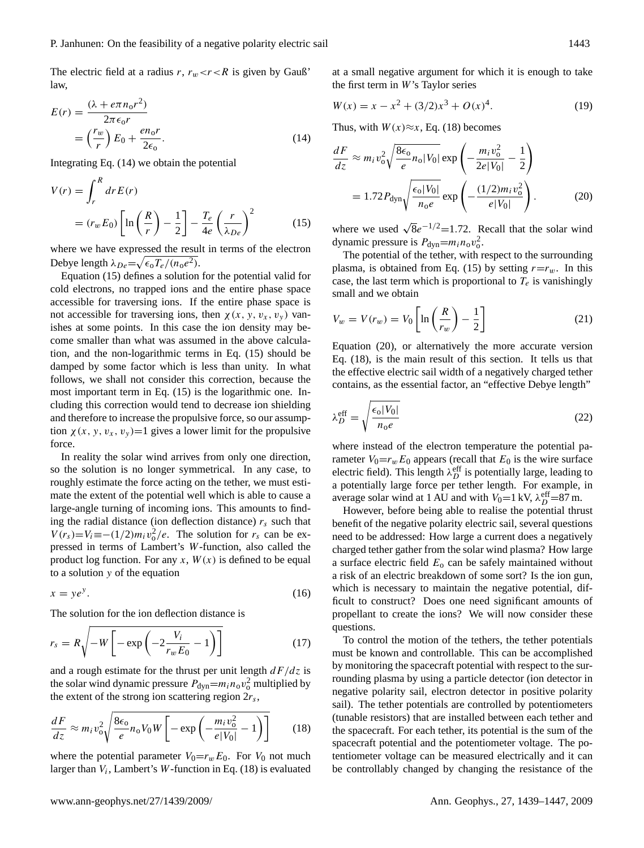The electric field at a radius r,  $r_w < r < R$  is given by Gauß' law,

<span id="page-4-0"></span>
$$
E(r) = \frac{(\lambda + e\pi n_0 r^2)}{2\pi \epsilon_0 r}
$$
  
=  $\left(\frac{r_w}{r}\right) E_0 + \frac{e n_0 r}{2\epsilon_0}.$  (14)

Integrating Eq. [\(14\)](#page-4-0) we obtain the potential

<span id="page-4-1"></span>
$$
V(r) = \int_{r}^{R} dr E(r)
$$
  
=  $(r_w E_0) \left[ \ln \left( \frac{R}{r} \right) - \frac{1}{2} \right] - \frac{T_e}{4e} \left( \frac{r}{\lambda_{De}} \right)^2$  (15)

where we have expressed the result in terms of the electron Debye length  $\lambda_{De} = \sqrt{\epsilon_0 T_e/(n_0 e^2)}$ .

Equation [\(15\)](#page-4-1) defines a solution for the potential valid for cold electrons, no trapped ions and the entire phase space accessible for traversing ions. If the entire phase space is not accessible for traversing ions, then  $\chi(x, y, v_x, v_y)$  vanishes at some points. In this case the ion density may become smaller than what was assumed in the above calculation, and the non-logarithmic terms in Eq. [\(15\)](#page-4-1) should be damped by some factor which is less than unity. In what follows, we shall not consider this correction, because the most important term in Eq. [\(15\)](#page-4-1) is the logarithmic one. Including this correction would tend to decrease ion shielding and therefore to increase the propulsive force, so our assumption  $\chi(x, y, v_x, v_y) = 1$  gives a lower limit for the propulsive force.

In reality the solar wind arrives from only one direction, so the solution is no longer symmetrical. In any case, to roughly estimate the force acting on the tether, we must estimate the extent of the potential well which is able to cause a large-angle turning of incoming ions. This amounts to finding the radial distance (ion deflection distance)  $r_s$  such that  $V(r<sub>s</sub>)=V<sub>i</sub> \equiv -(1/2)m<sub>i</sub>v<sub>o</sub><sup>2</sup>/e$ . The solution for  $r<sub>s</sub>$  can be expressed in terms of Lambert's W-function, also called the product log function. For any  $x$ ,  $W(x)$  is defined to be equal to a solution y of the equation

$$
x = ye^y. \tag{16}
$$

The solution for the ion deflection distance is

$$
r_s = R \sqrt{-W \left[ -\exp\left( -2\frac{V_i}{r_w E_0} - 1 \right) \right]}
$$
 (17)

and a rough estimate for the thrust per unit length  $dF/dz$  is the solar wind dynamic pressure  $P_{dyn} = m_i n_o v_o^2$  multiplied by the extent of the strong ion scattering region  $2r_s$ ,

<span id="page-4-2"></span>
$$
\frac{dF}{dz} \approx m_i v_o^2 \sqrt{\frac{8\epsilon_o}{e} n_o V_0 W} \left[ -\exp\left(-\frac{m_i v_o^2}{e|V_0|} - 1\right) \right] \tag{18}
$$

where the potential parameter  $V_0=r_wE_0$ . For  $V_0$  not much larger than  $V_i$ , Lambert's W-function in Eq. [\(18\)](#page-4-2) is evaluated

at a small negative argument for which it is enough to take the first term in W's Taylor series

$$
W(x) = x - x2 + (3/2)x3 + O(x)4.
$$
 (19)

Thus, with  $W(x) \approx x$ , Eq. [\(18\)](#page-4-2) becomes

<span id="page-4-3"></span>
$$
\frac{dF}{dz} \approx m_i v_o^2 \sqrt{\frac{8\epsilon_o}{e} n_o |V_0|} \exp\left(-\frac{m_i v_o^2}{2e |V_0|} - \frac{1}{2}\right)
$$

$$
= 1.72 P_{\text{dyn}} \sqrt{\frac{\epsilon_o |V_0|}{n_o e}} \exp\left(-\frac{(1/2) m_i v_o^2}{e |V_0|}\right). \tag{20}
$$

where we used  $\sqrt{8}e^{-1/2}$ =1.72. Recall that the solar wind dynamic pressure is  $P_{\text{dyn}} = m_i n_{\text{o}} v_{\text{o}}^2$ .

The potential of the tether, with respect to the surrounding plasma, is obtained from Eq. [\(15\)](#page-4-1) by setting  $r=r_w$ . In this case, the last term which is proportional to  $T_e$  is vanishingly small and we obtain

<span id="page-4-4"></span>
$$
V_w = V(r_w) = V_0 \left[ \ln \left( \frac{R}{r_w} \right) - \frac{1}{2} \right]
$$
 (21)

Equation [\(20\)](#page-4-3), or alternatively the more accurate version Eq. [\(18\)](#page-4-2), is the main result of this section. It tells us that the effective electric sail width of a negatively charged tether contains, as the essential factor, an "effective Debye length"

<span id="page-4-5"></span>
$$
\lambda_D^{\text{eff}} = \sqrt{\frac{\epsilon_0 |V_0|}{n_0 e}}
$$
\n(22)

where instead of the electron temperature the potential parameter  $V_0=r_wE_0$  appears (recall that  $E_0$  is the wire surface electric field). This length  $\lambda_D^{\text{eff}}$  is potentially large, leading to a potentially large force per tether length. For example, in average solar wind at 1 AU and with  $V_0 = 1$  kV,  $\lambda_D^{\text{eff}} = 87$  m.

However, before being able to realise the potential thrust benefit of the negative polarity electric sail, several questions need to be addressed: How large a current does a negatively charged tether gather from the solar wind plasma? How large a surface electric field  $E_0$  can be safely maintained without a risk of an electric breakdown of some sort? Is the ion gun, which is necessary to maintain the negative potential, difficult to construct? Does one need significant amounts of propellant to create the ions? We will now consider these questions.

To control the motion of the tethers, the tether potentials must be known and controllable. This can be accomplished by monitoring the spacecraft potential with respect to the surrounding plasma by using a particle detector (ion detector in negative polarity sail, electron detector in positive polarity sail). The tether potentials are controlled by potentiometers (tunable resistors) that are installed between each tether and the spacecraft. For each tether, its potential is the sum of the spacecraft potential and the potentiometer voltage. The potentiometer voltage can be measured electrically and it can be controllably changed by changing the resistance of the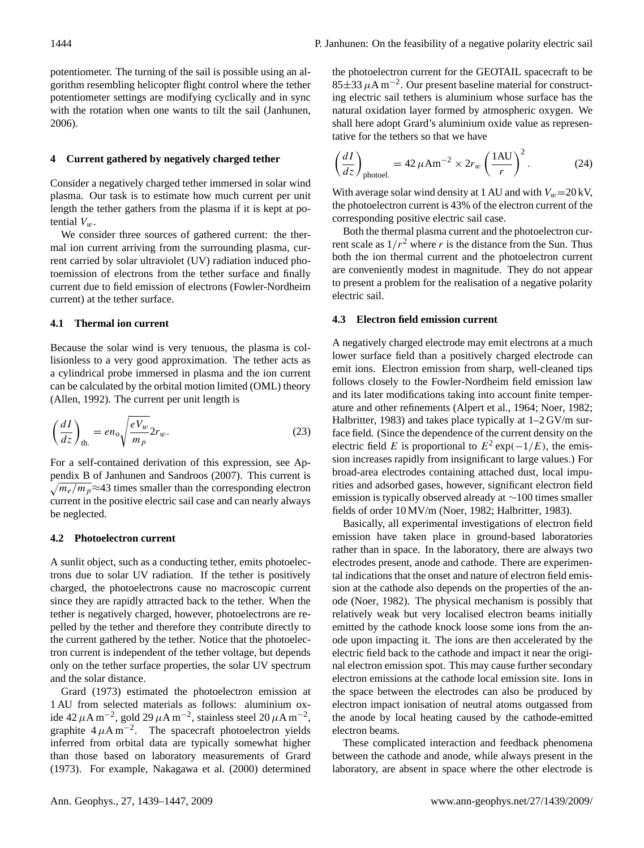potentiometer. The turning of the sail is possible using an algorithm resembling helicopter flight control where the tether potentiometer settings are modifying cyclically and in sync with the rotation when one wants to tilt the sail [\(Janhunen,](#page-8-2) [2006\)](#page-8-2).

## **4 Current gathered by negatively charged tether**

Consider a negatively charged tether immersed in solar wind plasma. Our task is to estimate how much current per unit length the tether gathers from the plasma if it is kept at potential  $V_w$ .

We consider three sources of gathered current: the thermal ion current arriving from the surrounding plasma, current carried by solar ultraviolet (UV) radiation induced photoemission of electrons from the tether surface and finally current due to field emission of electrons (Fowler-Nordheim current) at the tether surface.

## **4.1 Thermal ion current**

Because the solar wind is very tenuous, the plasma is collisionless to a very good approximation. The tether acts as a cylindrical probe immersed in plasma and the ion current can be calculated by the orbital motion limited (OML) theory [\(Allen,](#page-8-10) [1992\)](#page-8-10). The current per unit length is

$$
\left(\frac{dI}{dz}\right)_{\text{th.}} = en_{\text{o}} \sqrt{\frac{eV_w}{m_p}} 2r_w. \tag{23}
$$

For a self-contained derivation of this expression, see Appendix B of [Janhunen and Sandroos](#page-8-1) [\(2007\)](#page-8-1). This current is  $\sqrt{m_e/m_p}$  ≈43 times smaller than the corresponding electron current in the positive electric sail case and can nearly always be neglected.

## **4.2 Photoelectron current**

A sunlit object, such as a conducting tether, emits photoelectrons due to solar UV radiation. If the tether is positively charged, the photoelectrons cause no macroscopic current since they are rapidly attracted back to the tether. When the tether is negatively charged, however, photoelectrons are repelled by the tether and therefore they contribute directly to the current gathered by the tether. Notice that the photoelectron current is independent of the tether voltage, but depends only on the tether surface properties, the solar UV spectrum and the solar distance.

[Grard](#page-8-11) [\(1973\)](#page-8-11) estimated the photoelectron emission at 1 AU from selected materials as follows: aluminium oxide 42  $\mu$ A m<sup>-2</sup>, gold 29  $\mu$ A m<sup>-2</sup>, stainless steel 20  $\mu$ A m<sup>-2</sup>, graphite  $4 \mu A m^{-2}$ . The spacecraft photoelectron yields inferred from orbital data are typically somewhat higher than those based on laboratory measurements of [Grard](#page-8-11) [\(1973\)](#page-8-11). For example, [Nakagawa et al.](#page-8-12) [\(2000\)](#page-8-12) determined the photoelectron current for the GEOTAIL spacecraft to be 85 $\pm$ 33 μA m<sup>-2</sup>. Our present baseline material for constructing electric sail tethers is aluminium whose surface has the natural oxidation layer formed by atmospheric oxygen. We shall here adopt Grard's aluminium oxide value as representative for the tethers so that we have

<span id="page-5-0"></span>
$$
\left(\frac{dI}{dz}\right)_{\text{photoel.}} = 42 \,\mu\text{Am}^{-2} \times 2r_w \left(\frac{1 \text{AU}}{r}\right)^2. \tag{24}
$$

With average solar wind density at 1 AU and with  $V_w$ =20 kV, the photoelectron current is 43% of the electron current of the corresponding positive electric sail case.

Both the thermal plasma current and the photoelectron current scale as  $1/r^2$  where r is the distance from the Sun. Thus both the ion thermal current and the photoelectron current are conveniently modest in magnitude. They do not appear to present a problem for the realisation of a negative polarity electric sail.

#### **4.3 Electron field emission current**

A negatively charged electrode may emit electrons at a much lower surface field than a positively charged electrode can emit ions. Electron emission from sharp, well-cleaned tips follows closely to the Fowler-Nordheim field emission law and its later modifications taking into account finite temperature and other refinements [\(Alpert et al.,](#page-8-13) [1964;](#page-8-13) [Noer,](#page-8-14) [1982;](#page-8-14) [Halbritter,](#page-8-15) [1983\)](#page-8-15) and takes place typically at  $1-2$  GV/m surface field. (Since the dependence of the current density on the electric field E is proportional to  $E^2 \exp(-1/E)$ , the emission increases rapidly from insignificant to large values.) For broad-area electrodes containing attached dust, local impurities and adsorbed gases, however, significant electron field emission is typically observed already at ∼100 times smaller fields of order 10 MV/m [\(Noer,](#page-8-14) [1982;](#page-8-14) [Halbritter,](#page-8-15) [1983\)](#page-8-15).

Basically, all experimental investigations of electron field emission have taken place in ground-based laboratories rather than in space. In the laboratory, there are always two electrodes present, anode and cathode. There are experimental indications that the onset and nature of electron field emission at the cathode also depends on the properties of the anode [\(Noer,](#page-8-14) [1982\)](#page-8-14). The physical mechanism is possibly that relatively weak but very localised electron beams initially emitted by the cathode knock loose some ions from the anode upon impacting it. The ions are then accelerated by the electric field back to the cathode and impact it near the original electron emission spot. This may cause further secondary electron emissions at the cathode local emission site. Ions in the space between the electrodes can also be produced by electron impact ionisation of neutral atoms outgassed from the anode by local heating caused by the cathode-emitted electron beams.

These complicated interaction and feedback phenomena between the cathode and anode, while always present in the laboratory, are absent in space where the other electrode is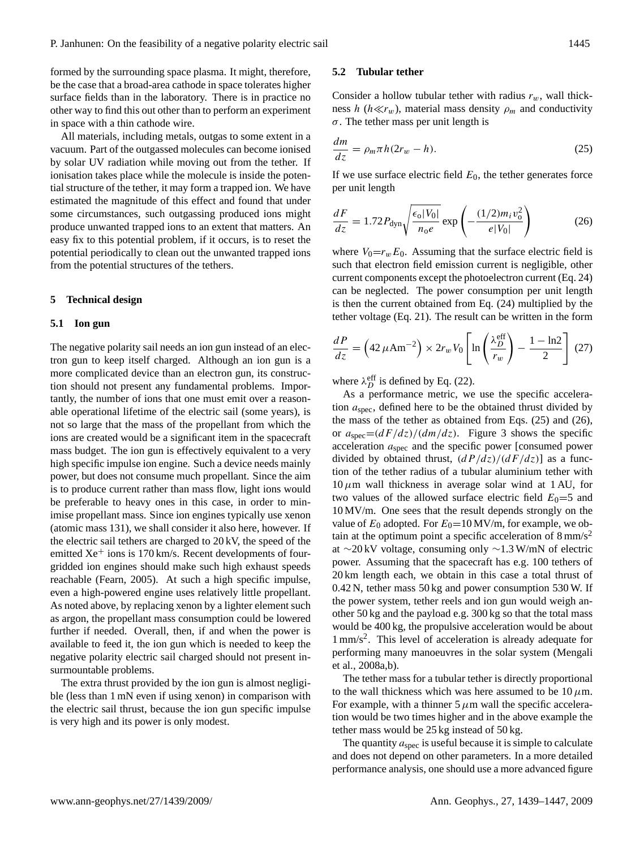formed by the surrounding space plasma. It might, therefore, be the case that a broad-area cathode in space tolerates higher surface fields than in the laboratory. There is in practice no other way to find this out other than to perform an experiment in space with a thin cathode wire.

All materials, including metals, outgas to some extent in a vacuum. Part of the outgassed molecules can become ionised by solar UV radiation while moving out from the tether. If ionisation takes place while the molecule is inside the potential structure of the tether, it may form a trapped ion. We have estimated the magnitude of this effect and found that under some circumstances, such outgassing produced ions might produce unwanted trapped ions to an extent that matters. An easy fix to this potential problem, if it occurs, is to reset the potential periodically to clean out the unwanted trapped ions from the potential structures of the tethers.

### **5 Technical design**

#### **5.1 Ion gun**

The negative polarity sail needs an ion gun instead of an electron gun to keep itself charged. Although an ion gun is a more complicated device than an electron gun, its construction should not present any fundamental problems. Importantly, the number of ions that one must emit over a reasonable operational lifetime of the electric sail (some years), is not so large that the mass of the propellant from which the ions are created would be a significant item in the spacecraft mass budget. The ion gun is effectively equivalent to a very high specific impulse ion engine. Such a device needs mainly power, but does not consume much propellant. Since the aim is to produce current rather than mass flow, light ions would be preferable to heavy ones in this case, in order to minimise propellant mass. Since ion engines typically use xenon (atomic mass 131), we shall consider it also here, however. If the electric sail tethers are charged to 20 kV, the speed of the emitted  $Xe^+$  ions is 170 km/s. Recent developments of fourgridded ion engines should make such high exhaust speeds reachable [\(Fearn,](#page-8-16) [2005\)](#page-8-16). At such a high specific impulse, even a high-powered engine uses relatively little propellant. As noted above, by replacing xenon by a lighter element such as argon, the propellant mass consumption could be lowered further if needed. Overall, then, if and when the power is available to feed it, the ion gun which is needed to keep the negative polarity electric sail charged should not present insurmountable problems.

The extra thrust provided by the ion gun is almost negligible (less than 1 mN even if using xenon) in comparison with the electric sail thrust, because the ion gun specific impulse is very high and its power is only modest.

#### **5.2 Tubular tether**

Consider a hollow tubular tether with radius  $r_w$ , wall thickness h ( $h \ll r_w$ ), material mass density  $\rho_m$  and conductivity  $\sigma$ . The tether mass per unit length is

<span id="page-6-0"></span>
$$
\frac{dm}{dz} = \rho_m \pi h (2r_w - h). \tag{25}
$$

If we use surface electric field  $E_0$ , the tether generates force per unit length

<span id="page-6-1"></span>
$$
\frac{dF}{dz} = 1.72 P_{\rm dyn} \sqrt{\frac{\epsilon_0 |V_0|}{n_0 e}} \exp\left(-\frac{(1/2)m_i v_0^2}{e|V_0|}\right) \tag{26}
$$

where  $V_0=r_wE_0$ . Assuming that the surface electric field is such that electron field emission current is negligible, other current components except the photoelectron current (Eq. [24\)](#page-5-0) can be neglected. The power consumption per unit length is then the current obtained from Eq. [\(24\)](#page-5-0) multiplied by the tether voltage (Eq. [21\)](#page-4-4). The result can be written in the form

$$
\frac{dP}{dz} = \left(42 \,\mu\text{Am}^{-2}\right) \times 2r_w V_0 \left[\ln\left(\frac{\lambda_D^{\text{eff}}}{r_w}\right) - \frac{1-\ln 2}{2}\right] \tag{27}
$$

where  $\lambda_D^{\text{eff}}$  is defined by Eq. [\(22\)](#page-4-5).

As a performance metric, we use the specific acceleration  $a_{\text{spec}}$ , defined here to be the obtained thrust divided by the mass of the tether as obtained from Eqs. [\(25\)](#page-6-0) and [\(26\)](#page-6-1), or  $a_{\text{spec}} = \frac{dF}{dz} / \frac{dm}{dz}$ . Figure 3 shows the specific acceleration  $a_{\rm spec}$  and the specific power [consumed power divided by obtained thrust,  $\left(dP/dz\right)/(dF/dz)$  as a function of the tether radius of a tubular aluminium tether with  $10 \mu m$  wall thickness in average solar wind at 1 AU, for two values of the allowed surface electric field  $E_0=5$  and 10 MV/m. One sees that the result depends strongly on the value of  $E_0$  adopted. For  $E_0$ =10 MV/m, for example, we obtain at the optimum point a specific acceleration of  $8 \text{ mm/s}^2$ at ∼20 kV voltage, consuming only ∼1.3 W/mN of electric power. Assuming that the spacecraft has e.g. 100 tethers of 20 km length each, we obtain in this case a total thrust of 0.42 N, tether mass 50 kg and power consumption 530 W. If the power system, tether reels and ion gun would weigh another 50 kg and the payload e.g. 300 kg so that the total mass would be 400 kg, the propulsive acceleration would be about 1 mm/s<sup>2</sup> . This level of acceleration is already adequate for performing many manoeuvres in the solar system [\(Mengali](#page-8-3) [et al.,](#page-8-3) [2008a](#page-8-3)[,b\)](#page-8-17).

The tether mass for a tubular tether is directly proportional to the wall thickness which was here assumed to be  $10 \mu$ m. For example, with a thinner  $5 \mu m$  wall the specific acceleration would be two times higher and in the above example the tether mass would be 25 kg instead of 50 kg.

The quantity  $a_{\rm spec}$  is useful because it is simple to calculate and does not depend on other parameters. In a more detailed performance analysis, one should use a more advanced figure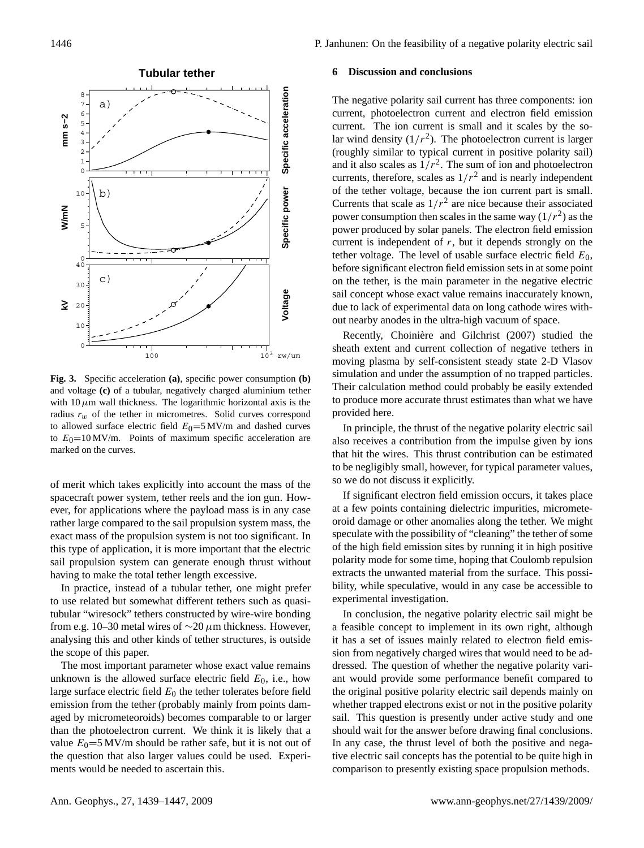

**Fig. 3.** Specific acceleration **(a)**, specific power consumption **(b)** and voltage **(c)** of a tubular, negatively charged aluminium tether with  $10 \mu$ m wall thickness. The logarithmic horizontal axis is the radius  $r_w$  of the tether in micrometres. Solid curves correspond to allowed surface electric field  $E_0=5$  MV/m and dashed curves to  $E_0$ =10 MV/m. Points of maximum specific acceleration are marked on the curves.

of merit which takes explicitly into account the mass of the spacecraft power system, tether reels and the ion gun. However, for applications where the payload mass is in any case rather large compared to the sail propulsion system mass, the exact mass of the propulsion system is not too significant. In this type of application, it is more important that the electric sail propulsion system can generate enough thrust without having to make the total tether length excessive.

In practice, instead of a tubular tether, one might prefer to use related but somewhat different tethers such as quasitubular "wiresock" tethers constructed by wire-wire bonding from e.g. 10–30 metal wires of  $\sim$ 20  $\mu$ m thickness. However, analysing this and other kinds of tether structures, is outside the scope of this paper.

The most important parameter whose exact value remains unknown is the allowed surface electric field  $E_0$ , i.e., how large surface electric field  $E_0$  the tether tolerates before field emission from the tether (probably mainly from points damaged by micrometeoroids) becomes comparable to or larger than the photoelectron current. We think it is likely that a value  $E_0 = 5$  MV/m should be rather safe, but it is not out of the question that also larger values could be used. Experiments would be needed to ascertain this.

#### **6 Discussion and conclusions**

The negative polarity sail current has three components: ion current, photoelectron current and electron field emission current. The ion current is small and it scales by the solar wind density  $(1/r^2)$ . The photoelectron current is larger (roughly similar to typical current in positive polarity sail) and it also scales as  $1/r^2$ . The sum of ion and photoelectron currents, therefore, scales as  $1/r^2$  and is nearly independent of the tether voltage, because the ion current part is small. Currents that scale as  $1/r^2$  are nice because their associated power consumption then scales in the same way  $(1/r^2)$  as the power produced by solar panels. The electron field emission current is independent of  $r$ , but it depends strongly on the tether voltage. The level of usable surface electric field  $E_0$ , before significant electron field emission sets in at some point on the tether, is the main parameter in the negative electric sail concept whose exact value remains inaccurately known, due to lack of experimental data on long cathode wires without nearby anodes in the ultra-high vacuum of space.

Recently, Choinière and Gilchrist [\(2007\)](#page-8-18) studied the sheath extent and current collection of negative tethers in moving plasma by self-consistent steady state 2-D Vlasov simulation and under the assumption of no trapped particles. Their calculation method could probably be easily extended to produce more accurate thrust estimates than what we have provided here.

In principle, the thrust of the negative polarity electric sail also receives a contribution from the impulse given by ions that hit the wires. This thrust contribution can be estimated to be negligibly small, however, for typical parameter values, so we do not discuss it explicitly.

If significant electron field emission occurs, it takes place at a few points containing dielectric impurities, micrometeoroid damage or other anomalies along the tether. We might speculate with the possibility of "cleaning" the tether of some of the high field emission sites by running it in high positive polarity mode for some time, hoping that Coulomb repulsion extracts the unwanted material from the surface. This possibility, while speculative, would in any case be accessible to experimental investigation.

In conclusion, the negative polarity electric sail might be a feasible concept to implement in its own right, although it has a set of issues mainly related to electron field emission from negatively charged wires that would need to be addressed. The question of whether the negative polarity variant would provide some performance benefit compared to the original positive polarity electric sail depends mainly on whether trapped electrons exist or not in the positive polarity sail. This question is presently under active study and one should wait for the answer before drawing final conclusions. In any case, the thrust level of both the positive and negative electric sail concepts has the potential to be quite high in comparison to presently existing space propulsion methods.